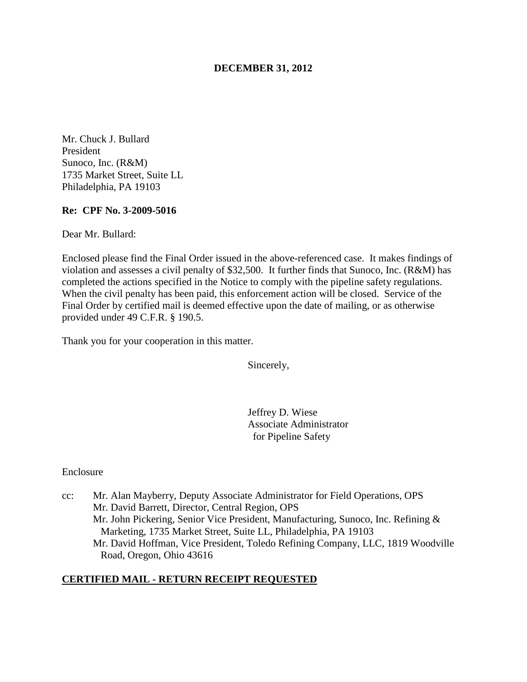## **DECEMBER 31, 2012**

Mr. Chuck J. Bullard President Sunoco, Inc. (R&M) 1735 Market Street, Suite LL Philadelphia, PA 19103

### **Re: CPF No. 3-2009-5016**

Dear Mr. Bullard:

Enclosed please find the Final Order issued in the above-referenced case. It makes findings of violation and assesses a civil penalty of \$32,500. It further finds that Sunoco, Inc. (R&M) has completed the actions specified in the Notice to comply with the pipeline safety regulations. When the civil penalty has been paid, this enforcement action will be closed. Service of the Final Order by certified mail is deemed effective upon the date of mailing, or as otherwise provided under 49 C.F.R. § 190.5.

Thank you for your cooperation in this matter.

Sincerely,

Jeffrey D. Wiese Associate Administrator for Pipeline Safety

### Enclosure

cc: Mr. Alan Mayberry, Deputy Associate Administrator for Field Operations, OPS Mr. David Barrett, Director, Central Region, OPS Mr. John Pickering, Senior Vice President, Manufacturing, Sunoco, Inc. Refining & Marketing, 1735 Market Street, Suite LL, Philadelphia, PA 19103 Mr. David Hoffman, Vice President, Toledo Refining Company, LLC, 1819 Woodville Road, Oregon, Ohio 43616

## **CERTIFIED MAIL - RETURN RECEIPT REQUESTED**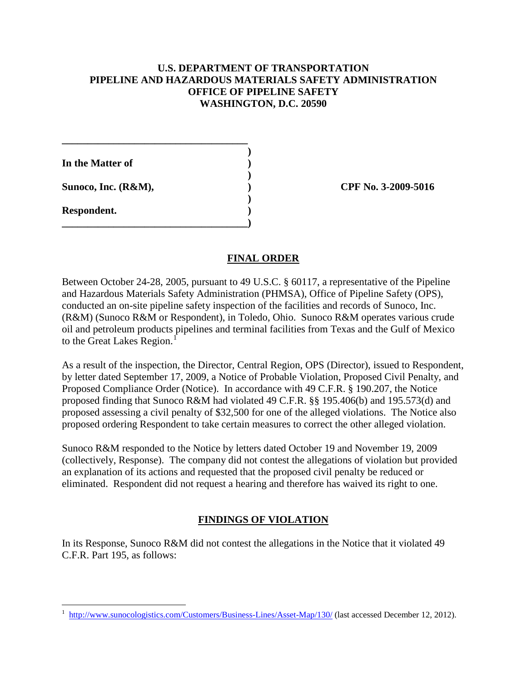# **U.S. DEPARTMENT OF TRANSPORTATION PIPELINE AND HAZARDOUS MATERIALS SAFETY ADMINISTRATION OFFICE OF PIPELINE SAFETY WASHINGTON, D.C. 20590**

**In the Matter of )** 

**\_\_\_\_\_\_\_\_\_\_\_\_\_\_\_\_\_\_\_\_\_\_\_\_\_\_\_\_\_\_\_\_\_\_\_\_ )** 

 **)** 

 **)** 

**\_\_\_\_\_\_\_\_\_\_\_\_\_\_\_\_\_\_\_\_\_\_\_\_\_\_\_\_\_\_\_\_\_\_\_\_)** 

**Sunoco, Inc. (R&M), ) CPF No. 3-2009-5016** 

**Respondent. )** 

 $\overline{a}$ 

# **FINAL ORDER**

Between October 24-28, 2005, pursuant to 49 U.S.C. § 60117, a representative of the Pipeline and Hazardous Materials Safety Administration (PHMSA), Office of Pipeline Safety (OPS), conducted an on-site pipeline safety inspection of the facilities and records of Sunoco, Inc. (R&M) (Sunoco R&M or Respondent), in Toledo, Ohio. Sunoco R&M operates various crude oil and petroleum products pipelines and terminal facilities from Texas and the Gulf of Mexico to the Great Lakes Region.<sup>1</sup>

As a result of the inspection, the Director, Central Region, OPS (Director), issued to Respondent, by letter dated September 17, 2009, a Notice of Probable Violation, Proposed Civil Penalty, and Proposed Compliance Order (Notice). In accordance with 49 C.F.R. § 190.207, the Notice proposed finding that Sunoco R&M had violated 49 C.F.R. §§ 195.406(b) and 195.573(d) and proposed assessing a civil penalty of \$32,500 for one of the alleged violations. The Notice also proposed ordering Respondent to take certain measures to correct the other alleged violation.

Sunoco R&M responded to the Notice by letters dated October 19 and November 19, 2009 (collectively, Response). The company did not contest the allegations of violation but provided an explanation of its actions and requested that the proposed civil penalty be reduced or eliminated. Respondent did not request a hearing and therefore has waived its right to one.

# **FINDINGS OF VIOLATION**

In its Response, Sunoco R&M did not contest the allegations in the Notice that it violated 49 C.F.R. Part 195, as follows:

<sup>1</sup> http://www.sunocologistics.com/Customers/Business-Lines/Asset-Map/130/ (last accessed December 12, 2012).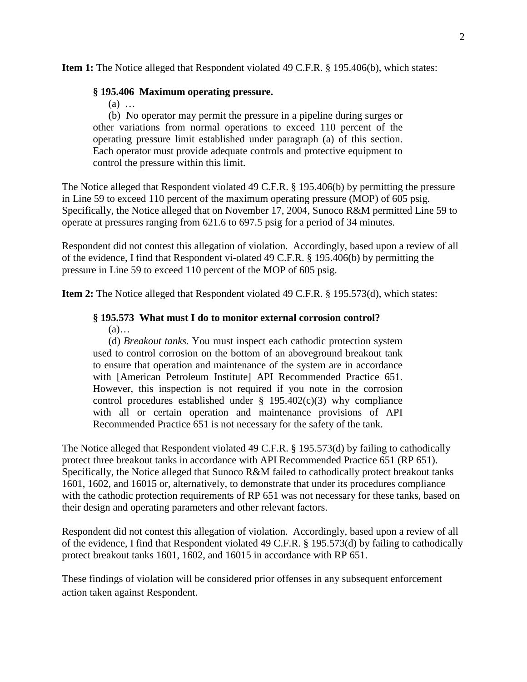**Item 1:** The Notice alleged that Respondent violated 49 C.F.R. § 195.406(b), which states:

## **§ 195.406 Maximum operating pressure.**

(a) …

(b) No operator may permit the pressure in a pipeline during surges or other variations from normal operations to exceed 110 percent of the operating pressure limit established under paragraph (a) of this section. Each operator must provide adequate controls and protective equipment to control the pressure within this limit.

The Notice alleged that Respondent violated 49 C.F.R. § 195.406(b) by permitting the pressure in Line 59 to exceed 110 percent of the maximum operating pressure (MOP) of 605 psig. Specifically, the Notice alleged that on November 17, 2004, Sunoco R&M permitted Line 59 to operate at pressures ranging from 621.6 to 697.5 psig for a period of 34 minutes.

Respondent did not contest this allegation of violation. Accordingly, based upon a review of all of the evidence, I find that Respondent vi-olated 49 C.F.R. § 195.406(b) by permitting the pressure in Line 59 to exceed 110 percent of the MOP of 605 psig.

**Item 2:** The Notice alleged that Respondent violated 49 C.F.R. § 195.573(d), which states:

#### **§ 195.573 What must I do to monitor external corrosion control?**   $(a)$ …

(d) *Breakout tanks.* You must inspect each cathodic protection system used to control corrosion on the bottom of an aboveground breakout tank to ensure that operation and maintenance of the system are in accordance with [American Petroleum Institute] API Recommended Practice 651. However, this inspection is not required if you note in the corrosion control procedures established under  $\S$  195.402(c)(3) why compliance with all or certain operation and maintenance provisions of API Recommended Practice 651 is not necessary for the safety of the tank.

The Notice alleged that Respondent violated 49 C.F.R. § 195.573(d) by failing to cathodically protect three breakout tanks in accordance with API Recommended Practice 651 (RP 651). Specifically, the Notice alleged that Sunoco R&M failed to cathodically protect breakout tanks 1601, 1602, and 16015 or, alternatively, to demonstrate that under its procedures compliance with the cathodic protection requirements of RP 651 was not necessary for these tanks, based on their design and operating parameters and other relevant factors.

Respondent did not contest this allegation of violation. Accordingly, based upon a review of all of the evidence, I find that Respondent violated 49 C.F.R. § 195.573(d) by failing to cathodically protect breakout tanks 1601, 1602, and 16015 in accordance with RP 651.

These findings of violation will be considered prior offenses in any subsequent enforcement action taken against Respondent.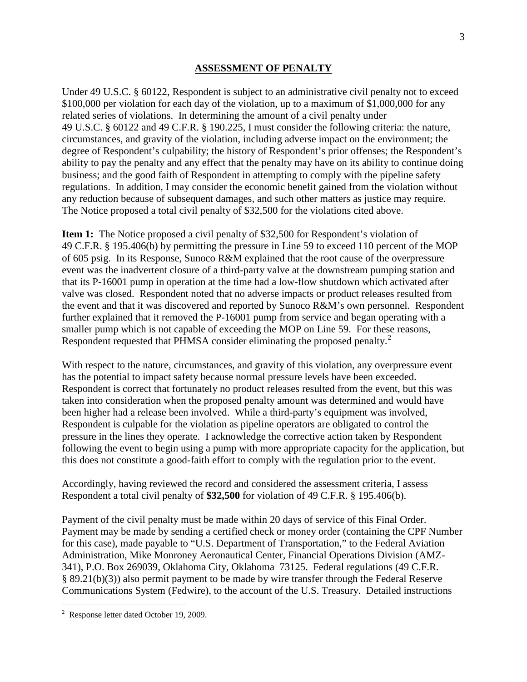### **ASSESSMENT OF PENALTY**

Under 49 U.S.C. § 60122, Respondent is subject to an administrative civil penalty not to exceed \$100,000 per violation for each day of the violation, up to a maximum of \$1,000,000 for any related series of violations. In determining the amount of a civil penalty under 49 U.S.C. § 60122 and 49 C.F.R. § 190.225, I must consider the following criteria: the nature, circumstances, and gravity of the violation, including adverse impact on the environment; the degree of Respondent's culpability; the history of Respondent's prior offenses; the Respondent's ability to pay the penalty and any effect that the penalty may have on its ability to continue doing business; and the good faith of Respondent in attempting to comply with the pipeline safety regulations. In addition, I may consider the economic benefit gained from the violation without any reduction because of subsequent damages, and such other matters as justice may require. The Notice proposed a total civil penalty of \$32,500 for the violations cited above.

**Item 1:** The Notice proposed a civil penalty of \$32,500 for Respondent's violation of 49 C.F.R. § 195.406(b) by permitting the pressure in Line 59 to exceed 110 percent of the MOP of 605 psig. In its Response, Sunoco R&M explained that the root cause of the overpressure event was the inadvertent closure of a third-party valve at the downstream pumping station and that its P-16001 pump in operation at the time had a low-flow shutdown which activated after valve was closed. Respondent noted that no adverse impacts or product releases resulted from the event and that it was discovered and reported by Sunoco R&M's own personnel. Respondent further explained that it removed the P-16001 pump from service and began operating with a smaller pump which is not capable of exceeding the MOP on Line 59. For these reasons, Respondent requested that PHMSA consider eliminating the proposed penalty.<sup>2</sup>

With respect to the nature, circumstances, and gravity of this violation, any overpressure event has the potential to impact safety because normal pressure levels have been exceeded. Respondent is correct that fortunately no product releases resulted from the event, but this was taken into consideration when the proposed penalty amount was determined and would have been higher had a release been involved. While a third-party's equipment was involved, Respondent is culpable for the violation as pipeline operators are obligated to control the pressure in the lines they operate. I acknowledge the corrective action taken by Respondent following the event to begin using a pump with more appropriate capacity for the application, but this does not constitute a good-faith effort to comply with the regulation prior to the event.

Accordingly, having reviewed the record and considered the assessment criteria, I assess Respondent a total civil penalty of **\$32,500** for violation of 49 C.F.R. § 195.406(b).

Payment of the civil penalty must be made within 20 days of service of this Final Order. Payment may be made by sending a certified check or money order (containing the CPF Number for this case), made payable to "U.S. Department of Transportation," to the Federal Aviation Administration, Mike Monroney Aeronautical Center, Financial Operations Division (AMZ-341), P.O. Box 269039, Oklahoma City, Oklahoma 73125. Federal regulations (49 C.F.R. § 89.21(b)(3)) also permit payment to be made by wire transfer through the Federal Reserve Communications System (Fedwire), to the account of the U.S. Treasury. Detailed instructions

 $\overline{a}$ 

<sup>&</sup>lt;sup>2</sup> Response letter dated October 19, 2009.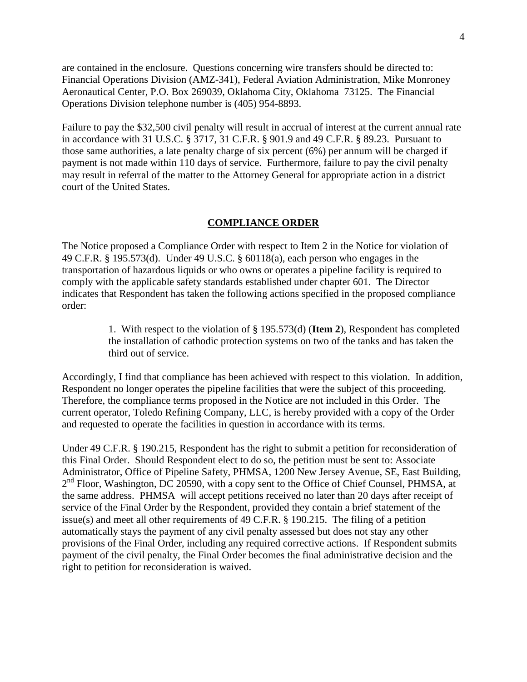are contained in the enclosure. Questions concerning wire transfers should be directed to: Financial Operations Division (AMZ-341), Federal Aviation Administration, Mike Monroney Aeronautical Center, P.O. Box 269039, Oklahoma City, Oklahoma 73125. The Financial Operations Division telephone number is (405) 954-8893.

Failure to pay the \$32,500 civil penalty will result in accrual of interest at the current annual rate in accordance with 31 U.S.C. § 3717, 31 C.F.R. § 901.9 and 49 C.F.R. § 89.23. Pursuant to those same authorities, a late penalty charge of six percent (6%) per annum will be charged if payment is not made within 110 days of service. Furthermore, failure to pay the civil penalty may result in referral of the matter to the Attorney General for appropriate action in a district court of the United States.

### **COMPLIANCE ORDER**

The Notice proposed a Compliance Order with respect to Item 2 in the Notice for violation of 49 C.F.R. § 195.573(d). Under 49 U.S.C. § 60118(a), each person who engages in the transportation of hazardous liquids or who owns or operates a pipeline facility is required to comply with the applicable safety standards established under chapter 601. The Director indicates that Respondent has taken the following actions specified in the proposed compliance order:

> 1. With respect to the violation of § 195.573(d) (**Item 2**), Respondent has completed the installation of cathodic protection systems on two of the tanks and has taken the third out of service.

Accordingly, I find that compliance has been achieved with respect to this violation. In addition, Respondent no longer operates the pipeline facilities that were the subject of this proceeding. Therefore, the compliance terms proposed in the Notice are not included in this Order. The current operator, Toledo Refining Company, LLC, is hereby provided with a copy of the Order and requested to operate the facilities in question in accordance with its terms.

Under 49 C.F.R. § 190.215, Respondent has the right to submit a petition for reconsideration of this Final Order. Should Respondent elect to do so, the petition must be sent to: Associate Administrator, Office of Pipeline Safety, PHMSA, 1200 New Jersey Avenue, SE, East Building,  $2<sup>nd</sup>$  Floor, Washington, DC 20590, with a copy sent to the Office of Chief Counsel, PHMSA, at the same address. PHMSA will accept petitions received no later than 20 days after receipt of service of the Final Order by the Respondent, provided they contain a brief statement of the issue(s) and meet all other requirements of 49 C.F.R. § 190.215. The filing of a petition automatically stays the payment of any civil penalty assessed but does not stay any other provisions of the Final Order, including any required corrective actions. If Respondent submits payment of the civil penalty, the Final Order becomes the final administrative decision and the right to petition for reconsideration is waived.